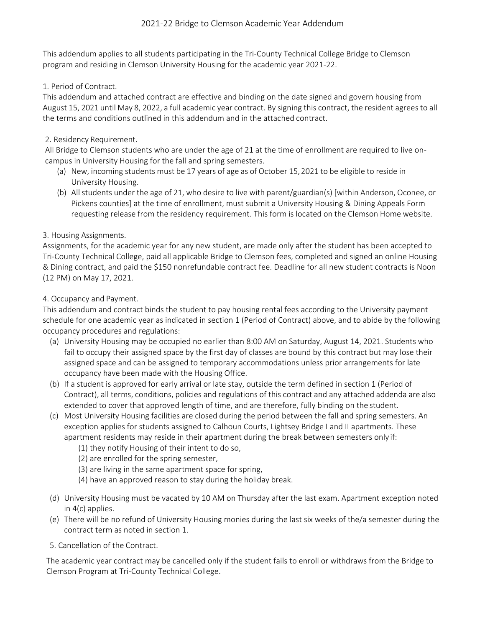# 2021-22 Bridge to Clemson Academic Year Addendum

This addendum applies to all students participating in the Tri-County Technical College Bridge to Clemson program and residing in Clemson University Housing for the academic year 2021-22.

#### 1. Period of Contract.

This addendum and attached contract are effective and binding on the date signed and govern housing from August 15, 2021 until May 8, 2022, a full academic year contract. By signing this contract, the resident agrees to all the terms and conditions outlined in this addendum and in the attached contract.

## 2. Residency Requirement.

All Bridge to Clemson students who are under the age of 21 at the time of enrollment are required to live oncampus in University Housing for the fall and spring semesters.

- (a) New, incoming students must be 17 years of age as of October 15,2021 to be eligible to reside in University Housing.
- (b) All students under the age of 21, who desire to live with parent/guardian(s) [within Anderson, Oconee, or Pickens counties] at the time of enrollment, must submit a University Housing & Dining Appeals Form requesting release from the residency requirement. This form is located on the Clemson Home website.

## 3. Housing Assignments.

Assignments, for the academic year for any new student, are made only after the student has been accepted to Tri-County Technical College, paid all applicable Bridge to Clemson fees, completed and signed an online Housing & Dining contract, and paid the \$150 nonrefundable contract fee. Deadline for all new student contracts is Noon (12 PM) on May 17, 2021.

## 4. Occupancy and Payment.

This addendum and contract binds the student to pay housing rental fees according to the University payment schedule for one academic year as indicated in section 1 (Period of Contract) above, and to abide by the following occupancy procedures and regulations:

- (a) University Housing may be occupied no earlier than 8:00 AM on Saturday, August 14, 2021. Students who fail to occupy their assigned space by the first day of classes are bound by this contract but may lose their assigned space and can be assigned to temporary accommodations unless prior arrangements for late occupancy have been made with the Housing Office.
- (b) If a student is approved for early arrival or late stay, outside the term defined in section 1 (Period of Contract), all terms, conditions, policies and regulations of this contract and any attached addenda are also extended to cover that approved length of time, and are therefore, fully binding on the student.
- (c) Most University Housing facilities are closed during the period between the fall and spring semesters. An exception applies for students assigned to Calhoun Courts, Lightsey Bridge I and II apartments. These apartment residents may reside in their apartment during the break between semesters only if:
	- (1) they notify Housing of their intent to do so,
	- (2) are enrolled for the spring semester,
	- (3) are living in the same apartment space for spring,
	- (4) have an approved reason to stay during the holiday break.
- (d) University Housing must be vacated by 10 AM on Thursday after the last exam. Apartment exception noted in 4(c) applies.
- (e) There will be no refund of University Housing monies during the last six weeks of the/a semester during the contract term as noted in section 1.
- 5. Cancellation of the Contract.

The academic year contract may be cancelled only if the student fails to enroll or withdraws from the Bridge to Clemson Program at Tri-County Technical College.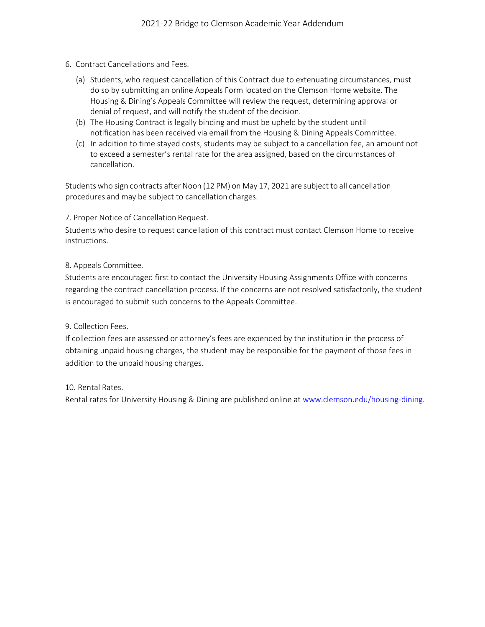- 6. Contract Cancellations and Fees.
	- (a) Students, who request cancellation of this Contract due to extenuating circumstances, must do so by submitting an online Appeals Form located on the Clemson Home website. The Housing & Dining's Appeals Committee will review the request, determining approval or denial of request, and will notify the student of the decision.
	- (b) The Housing Contract is legally binding and must be upheld by the student until notification has been received via email from the Housing & Dining Appeals Committee.
	- (c) In addition to time stayed costs, students may be subject to a cancellation fee, an amount not to exceed a semester's rental rate for the area assigned, based on the circumstances of cancellation.

Students who sign contracts after Noon (12 PM) on May 17, 2021 are subject to all cancellation procedures and may be subject to cancellation charges.

7. Proper Notice of Cancellation Request.

Students who desire to request cancellation of this contract must contact Clemson Home to receive instructions.

#### 8. Appeals Committee.

Students are encouraged first to contact the University Housing Assignments Office with concerns regarding the contract cancellation process. If the concerns are not resolved satisfactorily, the student is encouraged to submit such concerns to the Appeals Committee.

#### 9. Collection Fees.

If collection fees are assessed or attorney's fees are expended by the institution in the process of obtaining unpaid housing charges, the student may be responsible for the payment of those fees in addition to the unpaid housing charges.

10. Rental Rates.

Rental rates for University Housing & Dining are published online at [www.clemson.edu/housing-dining.](http://www.clemson.edu/housing-dining)